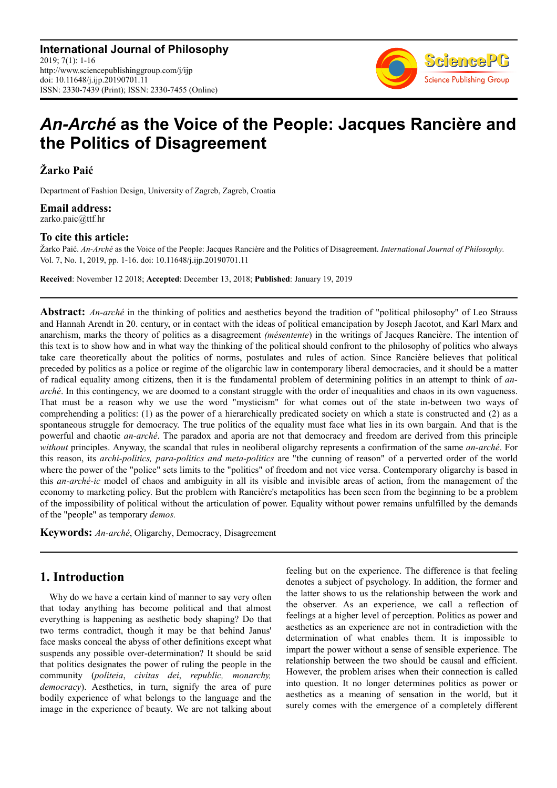

# *An-Arché* **as the Voice of the People: Jacques Rancière and the Politics of Disagreement**

**Žarko Paić** 

Department of Fashion Design, University of Zagreb, Zagreb, Croatia

**Email address:**<br>zarko.paic@ttf.hr

#### **To cite this article:**

Žarko Paić. *An-Arché* as the Voice of the People: Jacques Rancière and the Politics of Disagreement. *International Journal of Philosophy.*  Vol. 7, No. 1, 2019, pp. 1-16. doi: 10.11648/j.ijp.20190701.11

**Received**: November 12 2018; **Accepted**: December 13, 2018; **Published**: January 19, 2019

**Abstract:** *An-arché* in the thinking of politics and aesthetics beyond the tradition of "political philosophy" of Leo Strauss and Hannah Arendt in 20. century, or in contact with the ideas of political emancipation by Joseph Jacotot, and Karl Marx and anarchism, marks the theory of politics as a disagreement *(mésentente*) in the writings of Jacques Rancière. The intention of this text is to show how and in what way the thinking of the political should confront to the philosophy of politics who always take care theoretically about the politics of norms, postulates and rules of action. Since Rancière believes that political preceded by politics as a police or regime of the oligarchic law in contemporary liberal democracies, and it should be a matter of radical equality among citizens, then it is the fundamental problem of determining politics in an attempt to think of *anarché*. In this contingency, we are doomed to a constant struggle with the order of inequalities and chaos in its own vagueness. That must be a reason why we use the word "mysticism" for what comes out of the state in-between two ways of comprehending a politics: (1) as the power of a hierarchically predicated society on which a state is constructed and (2) as a spontaneous struggle for democracy. The true politics of the equality must face what lies in its own bargain. And that is the powerful and chaotic *an-arché*. The paradox and aporia are not that democracy and freedom are derived from this principle *without* principles. Anyway, the scandal that rules in neoliberal oligarchy represents a confirmation of the same *an-arché*. For this reason, its *archi-politics, para-politics and meta-politics* are "the cunning of reason" of a perverted order of the world where the power of the "police" sets limits to the "politics" of freedom and not vice versa. Contemporary oligarchy is based in this *an-arché-ic* model of chaos and ambiguity in all its visible and invisible areas of action, from the management of the economy to marketing policy. But the problem with Rancière's metapolitics has been seen from the beginning to be a problem of the impossibility of political without the articulation of power. Equality without power remains unfulfilled by the demands of the "people" as temporary *demos.*

**Keywords:** *An-arché*, Oligarchy, Democracy, Disagreement

## **1. Introduction**

Why do we have a certain kind of manner to say very often that today anything has become political and that almost everything is happening as aesthetic body shaping? Do that two terms contradict, though it may be that behind Janus' face masks conceal the abyss of other definitions except what suspends any possible over-determination? It should be said that politics designates the power of ruling the people in the community (*politeia*, *civitas dei*, *republic, monarchy, democracy*). Aesthetics, in turn, signify the area of pure bodily experience of what belongs to the language and the image in the experience of beauty. We are not talking about feeling but on the experience. The difference is that feeling denotes a subject of psychology. In addition, the former and the latter shows to us the relationship between the work and the observer. As an experience, we call a reflection of feelings at a higher level of perception. Politics as power and aesthetics as an experience are not in contradiction with the determination of what enables them. It is impossible to impart the power without a sense of sensible experience. The relationship between the two should be causal and efficient. However, the problem arises when their connection is called into question. It no longer determines politics as power or aesthetics as a meaning of sensation in the world, but it surely comes with the emergence of a completely different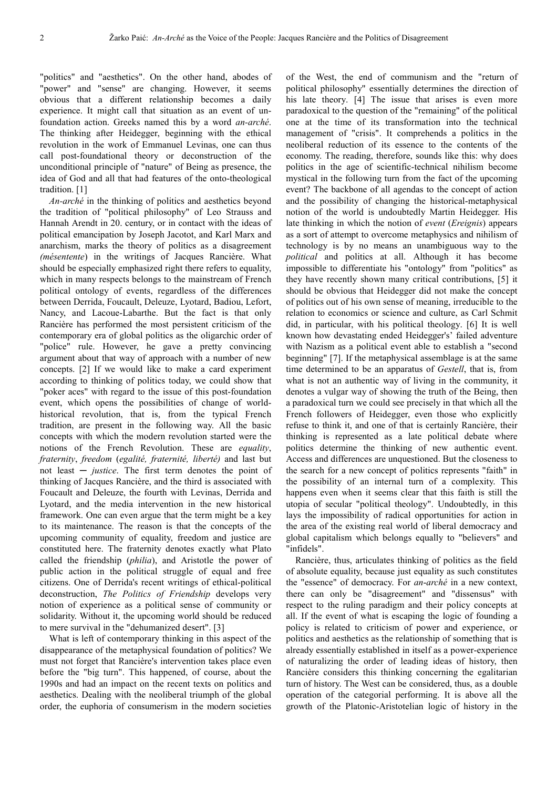"politics" and "aesthetics". On the other hand, abodes of "power" and "sense" are changing. However, it seems obvious that a different relationship becomes a daily experience. It might call that situation as an event of unfoundation action. Greeks named this by a word *an-arché*. The thinking after Heidegger, beginning with the ethical revolution in the work of Emmanuel Levinas, one can thus call post-foundational theory or deconstruction of the unconditional principle of "nature" of Being as presence, the idea of God and all that had features of the onto-theological tradition. [1]

*An-arché* in the thinking of politics and aesthetics beyond the tradition of "political philosophy" of Leo Strauss and Hannah Arendt in 20. century, or in contact with the ideas of political emancipation by Joseph Jacotot, and Karl Marx and anarchism, marks the theory of politics as a disagreement *(mésentente*) in the writings of Jacques Rancière. What should be especially emphasized right there refers to equality, which in many respects belongs to the mainstream of French political ontology of events, regardless of the differences between Derrida, Foucault, Deleuze, Lyotard, Badiou, Lefort, Nancy, and Lacoue-Labarthe. But the fact is that only Rancière has performed the most persistent criticism of the contemporary era of global politics as the oligarchic order of "police" rule. However, he gave a pretty convincing argument about that way of approach with a number of new concepts. [2] If we would like to make a card experiment according to thinking of politics today, we could show that "poker aces" with regard to the issue of this post-foundation event, which opens the possibilities of change of worldhistorical revolution, that is, from the typical French tradition, are present in the following way. All the basic concepts with which the modern revolution started were the notions of the French Revolution. These are *equality*, *fraternity*, *freedom* (*egalité, fraternité, liberté)* and last but not least ─ *justice*. The first term denotes the point of thinking of Jacques Rancière, and the third is associated with Foucault and Deleuze, the fourth with Levinas, Derrida and Lyotard, and the media intervention in the new historical framework. One can even argue that the term might be a key to its maintenance. The reason is that the concepts of the upcoming community of equality, freedom and justice are constituted here. The fraternity denotes exactly what Plato called the friendship (*philia*), and Aristotle the power of public action in the political struggle of equal and free citizens. One of Derrida's recent writings of ethical-political deconstruction, *The Politics of Friendship* develops very notion of experience as a political sense of community or solidarity. Without it, the upcoming world should be reduced to mere survival in the "dehumanized desert". [3]

What is left of contemporary thinking in this aspect of the disappearance of the metaphysical foundation of politics? We must not forget that Rancière's intervention takes place even before the "big turn". This happened, of course, about the 1990s and had an impact on the recent texts on politics and aesthetics. Dealing with the neoliberal triumph of the global order, the euphoria of consumerism in the modern societies

of the West, the end of communism and the "return of political philosophy" essentially determines the direction of his late theory. [4] The issue that arises is even more paradoxical to the question of the "remaining" of the political one at the time of its transformation into the technical management of "crisis". It comprehends a politics in the neoliberal reduction of its essence to the contents of the economy. The reading, therefore, sounds like this: why does politics in the age of scientific-technical nihilism become mystical in the following turn from the fact of the upcoming event? The backbone of all agendas to the concept of action and the possibility of changing the historical-metaphysical notion of the world is undoubtedly Martin Heidegger. His late thinking in which the notion of *event* (*Ereignis*) appears as a sort of attempt to overcome metaphysics and nihilism of technology is by no means an unambiguous way to the *political* and politics at all. Although it has become impossible to differentiate his "ontology" from "politics" as they have recently shown many critical contributions, [5] it should be obvious that Heidegger did not make the concept of politics out of his own sense of meaning, irreducible to the relation to economics or science and culture, as Carl Schmit did, in particular, with his political theology. [6] It is well known how devastating ended Heidegger's' failed adventure with Nazism as a political event able to establish a "second beginning" [7]. If the metaphysical assemblage is at the same time determined to be an apparatus of *Gestell*, that is, from what is not an authentic way of living in the community, it denotes a vulgar way of showing the truth of the Being, then a paradoxical turn we could see precisely in that which all the French followers of Heidegger, even those who explicitly refuse to think it, and one of that is certainly Rancière, their thinking is represented as a late political debate where politics determine the thinking of new authentic event. Access and differences are unquestioned. But the closeness to the search for a new concept of politics represents "faith" in the possibility of an internal turn of a complexity. This happens even when it seems clear that this faith is still the utopia of secular "political theology". Undoubtedly, in this lays the impossibility of radical opportunities for action in the area of the existing real world of liberal democracy and global capitalism which belongs equally to "believers" and "infidels".

Rancière, thus, articulates thinking of politics as the field of absolute equality, because just equality as such constitutes the "essence" of democracy. For *an*-*arché* in a new context, there can only be "disagreement" and "dissensus" with respect to the ruling paradigm and their policy concepts at all. If the event of what is escaping the logic of founding a policy is related to criticism of power and experience, or politics and aesthetics as the relationship of something that is already essentially established in itself as a power-experience of naturalizing the order of leading ideas of history, then Rancière considers this thinking concerning the egalitarian turn of history. The West can be considered, thus, as a double operation of the categorial performing. It is above all the growth of the Platonic-Aristotelian logic of history in the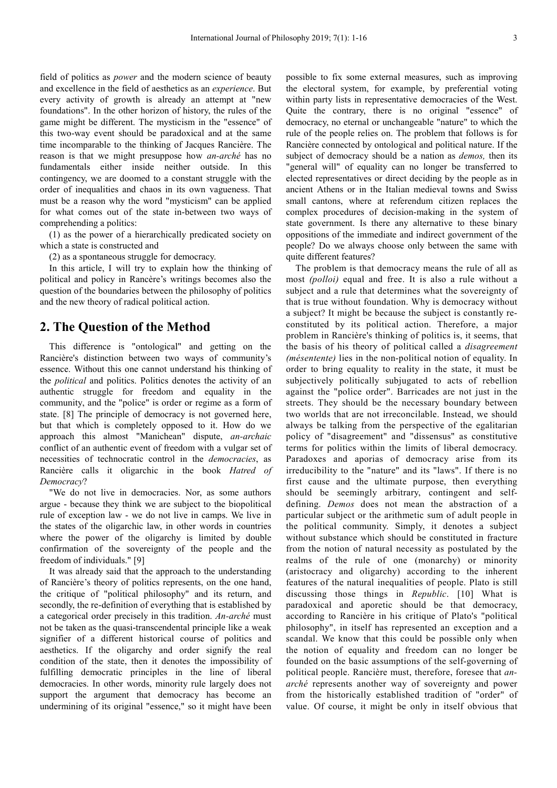field of politics as *power* and the modern science of beauty and excellence in the field of aesthetics as an *experience*. But every activity of growth is already an attempt at "new foundations". In the other horizon of history, the rules of the game might be different. The mysticism in the "essence" of this two-way event should be paradoxical and at the same time incomparable to the thinking of Jacques Rancière. The reason is that we might presuppose how *an-arché* has no fundamentals either inside neither outside. In this contingency, we are doomed to a constant struggle with the order of inequalities and chaos in its own vagueness. That must be a reason why the word "mysticism" can be applied for what comes out of the state in-between two ways of comprehending a politics:

(1) as the power of a hierarchically predicated society on which a state is constructed and

(2) as a spontaneous struggle for democracy.

In this article, I will try to explain how the thinking of political and policy in Rancère's writings becomes also the question of the boundaries between the philosophy of politics and the new theory of radical political action.

### **2. The Question of the Method**

This difference is "ontological" and getting on the Rancière's distinction between two ways of community's essence. Without this one cannot understand his thinking of the *political* and politics. Politics denotes the activity of an authentic struggle for freedom and equality in the community, and the "police" is order or regime as a form of state. [8] The principle of democracy is not governed here, but that which is completely opposed to it. How do we approach this almost "Manichean" dispute, *an-archaic* conflict of an authentic event of freedom with a vulgar set of necessities of technocratic control in the *democracies*, as Rancière calls it oligarchic in the book *Hatred of Democracy*?

"We do not live in democracies. Nor, as some authors argue - because they think we are subject to the biopolitical rule of exception law - we do not live in camps. We live in the states of the oligarchic law, in other words in countries where the power of the oligarchy is limited by double confirmation of the sovereignty of the people and the freedom of individuals." [9]

It was already said that the approach to the understanding of Rancière's theory of politics represents, on the one hand, the critique of "political philosophy" and its return, and secondly, the re-definition of everything that is established by a categorical order precisely in this tradition. *An-arché* must not be taken as the quasi-transcendental principle like a weak signifier of a different historical course of politics and aesthetics. If the oligarchy and order signify the real condition of the state, then it denotes the impossibility of fulfilling democratic principles in the line of liberal democracies. In other words, minority rule largely does not support the argument that democracy has become an undermining of its original "essence," so it might have been possible to fix some external measures, such as improving the electoral system, for example, by preferential voting within party lists in representative democracies of the West. Quite the contrary, there is no original "essence" of democracy, no eternal or unchangeable "nature" to which the rule of the people relies on. The problem that follows is for Rancière connected by ontological and political nature. If the subject of democracy should be a nation as *demos,* then its "general will" of equality can no longer be transferred to elected representatives or direct deciding by the people as in ancient Athens or in the Italian medieval towns and Swiss small cantons, where at referendum citizen replaces the complex procedures of decision-making in the system of state government. Is there any alternative to these binary oppositions of the immediate and indirect government of the people? Do we always choose only between the same with quite different features?

The problem is that democracy means the rule of all as most *(polloi)* equal and free. It is also a rule without a subject and a rule that determines what the sovereignty of that is true without foundation. Why is democracy without a subject? It might be because the subject is constantly reconstituted by its political action. Therefore, a major problem in Rancière's thinking of politics is, it seems, that the basis of his theory of political called a *disagreement (mésentente)* lies in the non-political notion of equality. In order to bring equality to reality in the state, it must be subjectively politically subjugated to acts of rebellion against the "police order". Barricades are not just in the streets. They should be the necessary boundary between two worlds that are not irreconcilable. Instead, we should always be talking from the perspective of the egalitarian policy of "disagreement" and "dissensus" as constitutive terms for politics within the limits of liberal democracy. Paradoxes and aporias of democracy arise from its irreducibility to the "nature" and its "laws". If there is no first cause and the ultimate purpose, then everything should be seemingly arbitrary, contingent and selfdefining. *Demos* does not mean the abstraction of a particular subject or the arithmetic sum of adult people in the political community. Simply, it denotes a subject without substance which should be constituted in fracture from the notion of natural necessity as postulated by the realms of the rule of one (monarchy) or minority (aristocracy and oligarchy) according to the inherent features of the natural inequalities of people. Plato is still discussing those things in *Republic*. [10] What is paradoxical and aporetic should be that democracy, according to Rancière in his critique of Plato's "political philosophy", in itself has represented an exception and a scandal. We know that this could be possible only when the notion of equality and freedom can no longer be founded on the basic assumptions of the self-governing of political people. Rancière must, therefore, foresee that *anarché* represents another way of sovereignty and power from the historically established tradition of "order" of value. Of course, it might be only in itself obvious that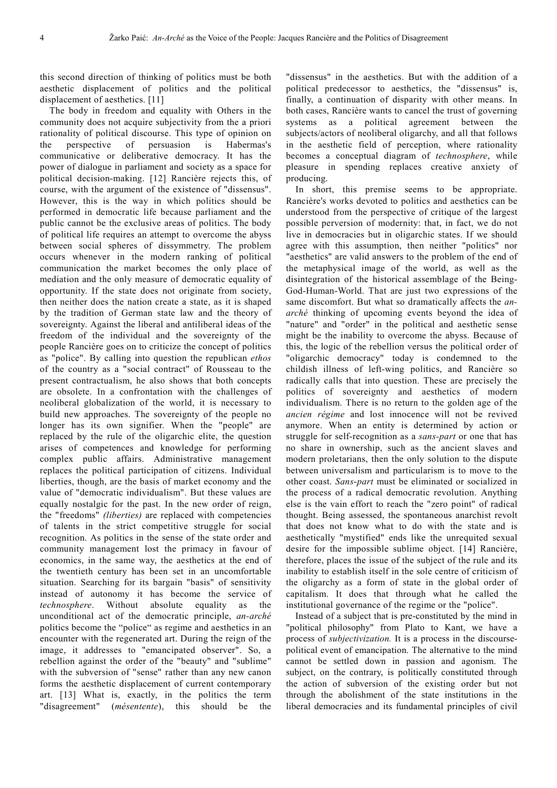this second direction of thinking of politics must be both aesthetic displacement of politics and the political displacement of aesthetics. [11]

The body in freedom and equality with Others in the community does not acquire subjectivity from the a priori rationality of political discourse. This type of opinion on the perspective of persuasion is Habermas's communicative or deliberative democracy. It has the power of dialogue in parliament and society as a space for political decision-making. [12] Rancière rejects this, of course, with the argument of the existence of "dissensus". However, this is the way in which politics should be performed in democratic life because parliament and the public cannot be the exclusive areas of politics. The body of political life requires an attempt to overcome the abyss between social spheres of dissymmetry. The problem occurs whenever in the modern ranking of political communication the market becomes the only place of mediation and the only measure of democratic equality of opportunity. If the state does not originate from society, then neither does the nation create a state, as it is shaped by the tradition of German state law and the theory of sovereignty. Against the liberal and antiliberal ideas of the freedom of the individual and the sovereignty of the people Rancière goes on to criticize the concept of politics as "police". By calling into question the republican *ethos*  of the country as a "social contract" of Rousseau to the present contractualism, he also shows that both concepts are obsolete. In a confrontation with the challenges of neoliberal globalization of the world, it is necessary to build new approaches. The sovereignty of the people no longer has its own signifier. When the "people" are replaced by the rule of the oligarchic elite, the question arises of competences and knowledge for performing complex public affairs. Administrative management replaces the political participation of citizens. Individual liberties, though, are the basis of market economy and the value of "democratic individualism". But these values are equally nostalgic for the past. In the new order of reign, the "freedoms" *(liberties)* are replaced with competencies of talents in the strict competitive struggle for social recognition. As politics in the sense of the state order and community management lost the primacy in favour of economics, in the same way, the aesthetics at the end of the twentieth century has been set in an uncomfortable situation. Searching for its bargain "basis" of sensitivity instead of autonomy it has become the service of *technosphere*. Without absolute equality as the unconditional act of the democratic principle, *an-arché*  politics become the "police" as regime and aesthetics in an encounter with the regenerated art. During the reign of the image, it addresses to "emancipated observer". So, a rebellion against the order of the "beauty" and "sublime" with the subversion of "sense" rather than any new canon forms the aesthetic displacement of current contemporary art. [13] What is, exactly, in the politics the term "disagreement" (*mésentente*), this should be the

"dissensus" in the aesthetics. But with the addition of a political predecessor to aesthetics, the "dissensus" is, finally, a continuation of disparity with other means. In both cases, Rancière wants to cancel the trust of governing systems as a political agreement between the subjects/actors of neoliberal oligarchy, and all that follows in the aesthetic field of perception, where rationality becomes a conceptual diagram of *technosphere*, while pleasure in spending replaces creative anxiety of producing.

In short, this premise seems to be appropriate. Rancière's works devoted to politics and aesthetics can be understood from the perspective of critique of the largest possible perversion of modernity: that, in fact, we do not live in democracies but in oligarchic states. If we should agree with this assumption, then neither "politics" nor "aesthetics" are valid answers to the problem of the end of the metaphysical image of the world, as well as the disintegration of the historical assemblage of the Being-God-Human-World. That are just two expressions of the same discomfort. But what so dramatically affects the *anarché* thinking of upcoming events beyond the idea of "nature" and "order" in the political and aesthetic sense might be the inability to overcome the abyss. Because of this, the logic of the rebellion versus the political order of "oligarchic democracy" today is condemned to the childish illness of left-wing politics, and Rancière so radically calls that into question. These are precisely the politics of sovereignty and aesthetics of modern individualism. There is no return to the golden age of the *ancien régime* and lost innocence will not be revived anymore. When an entity is determined by action or struggle for self-recognition as a *sans-part* or one that has no share in ownership, such as the ancient slaves and modern proletarians, then the only solution to the dispute between universalism and particularism is to move to the other coast. *Sans*-*part* must be eliminated or socialized in the process of a radical democratic revolution. Anything else is the vain effort to reach the "zero point" of radical thought. Being assessed, the spontaneous anarchist revolt that does not know what to do with the state and is aesthetically "mystified" ends like the unrequited sexual desire for the impossible sublime object. [14] Rancière, therefore, places the issue of the subject of the rule and its inability to establish itself in the sole centre of criticism of the oligarchy as a form of state in the global order of capitalism. It does that through what he called the institutional governance of the regime or the "police".

Instead of a subject that is pre-constituted by the mind in "political philosophy" from Plato to Kant, we have a process of *subjectivization.* It is a process in the discoursepolitical event of emancipation. The alternative to the mind cannot be settled down in passion and agonism. The subject, on the contrary, is politically constituted through the action of subversion of the existing order but not through the abolishment of the state institutions in the liberal democracies and its fundamental principles of civil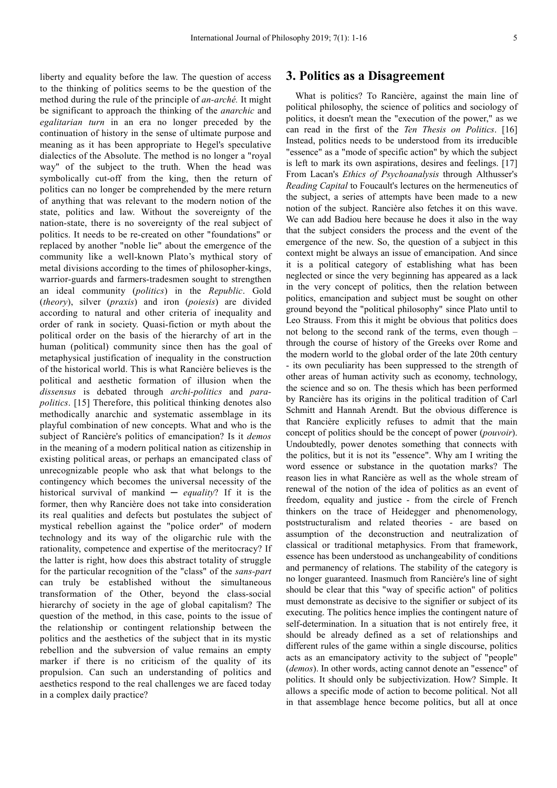liberty and equality before the law. The question of access to the thinking of politics seems to be the question of the method during the rule of the principle of *an-arché.* It might be significant to approach the thinking of the *anarchic* and *egalitarian turn* in an era no longer preceded by the continuation of history in the sense of ultimate purpose and meaning as it has been appropriate to Hegel's speculative dialectics of the Absolute. The method is no longer a "royal way" of the subject to the truth. When the head was symbolically cut-off from the king, then the return of politics can no longer be comprehended by the mere return of anything that was relevant to the modern notion of the state, politics and law. Without the sovereignty of the nation-state, there is no sovereignty of the real subject of politics. It needs to be re-created on other "foundations" or replaced by another "noble lie" about the emergence of the community like a well-known Plato's mythical story of metal divisions according to the times of philosopher-kings, warrior-guards and farmers-tradesmen sought to strengthen an ideal community (*politics*) in the *Republic*. Gold (*theory*), silver (*praxis*) and iron (*poiesis*) are divided according to natural and other criteria of inequality and order of rank in society. Quasi-fiction or myth about the political order on the basis of the hierarchy of art in the human (political) community since then has the goal of metaphysical justification of inequality in the construction of the historical world. This is what Rancière believes is the political and aesthetic formation of illusion when the *dissensus* is debated through *archi-politics* and *parapolitics*. [15] Therefore, this political thinking denotes also methodically anarchic and systematic assemblage in its playful combination of new concepts. What and who is the subject of Rancière's politics of emancipation? Is it *demos* in the meaning of a modern political nation as citizenship in existing political areas, or perhaps an emancipated class of unrecognizable people who ask that what belongs to the contingency which becomes the universal necessity of the historical survival of mankind ─ *equality*? If it is the former, then why Rancière does not take into consideration its real qualities and defects but postulates the subject of mystical rebellion against the "police order" of modern technology and its way of the oligarchic rule with the rationality, competence and expertise of the meritocracy? If the latter is right, how does this abstract totality of struggle for the particular recognition of the "class" of the *sans-part* can truly be established without the simultaneous transformation of the Other, beyond the class-social hierarchy of society in the age of global capitalism? The question of the method, in this case, points to the issue of the relationship or contingent relationship between the politics and the aesthetics of the subject that in its mystic rebellion and the subversion of value remains an empty marker if there is no criticism of the quality of its propulsion. Can such an understanding of politics and aesthetics respond to the real challenges we are faced today in a complex daily practice?

#### **3. Politics as a Disagreement**

What is politics? To Rancière, against the main line of political philosophy, the science of politics and sociology of politics, it doesn't mean the "execution of the power," as we can read in the first of the *Ten Thesis on Politics*. [16] Instead, politics needs to be understood from its irreducible "essence" as a "mode of specific action" by which the subject is left to mark its own aspirations, desires and feelings. [17] From Lacan's *Ethics of Psychoanalysis* through Althusser's *Reading Capital* to Foucault's lectures on the hermeneutics of the subject, a series of attempts have been made to a new notion of the subject. Rancière also fetches it on this wave. We can add Badiou here because he does it also in the way that the subject considers the process and the event of the emergence of the new. So, the question of a subject in this context might be always an issue of emancipation. And since it is a political category of establishing what has been neglected or since the very beginning has appeared as a lack in the very concept of politics, then the relation between politics, emancipation and subject must be sought on other ground beyond the "political philosophy" since Plato until to Leo Strauss. From this it might be obvious that politics does not belong to the second rank of the terms, even though – through the course of history of the Greeks over Rome and the modern world to the global order of the late 20th century - its own peculiarity has been suppressed to the strength of other areas of human activity such as economy, technology, the science and so on. The thesis which has been performed by Rancière has its origins in the political tradition of Carl Schmitt and Hannah Arendt. But the obvious difference is that Rancière explicitly refuses to admit that the main concept of politics should be the concept of power (*pouvoir*). Undoubtedly, power denotes something that connects with the politics, but it is not its "essence". Why am I writing the word essence or substance in the quotation marks? The reason lies in what Rancière as well as the whole stream of renewal of the notion of the idea of politics as an event of freedom, equality and justice - from the circle of French thinkers on the trace of Heidegger and phenomenology, poststructuralism and related theories - are based on assumption of the deconstruction and neutralization of classical or traditional metaphysics. From that framework, essence has been understood as unchangeability of conditions and permanency of relations. The stability of the category is no longer guaranteed. Inasmuch from Rancière's line of sight should be clear that this "way of specific action" of politics must demonstrate as decisive to the signifier or subject of its executing. The politics hence implies the contingent nature of self-determination. In a situation that is not entirely free, it should be already defined as a set of relationships and different rules of the game within a single discourse, politics acts as an emancipatory activity to the subject of "people" (*demos*). In other words, acting cannot denote an "essence" of politics. It should only be subjectivization. How? Simple. It allows a specific mode of action to become political. Not all in that assemblage hence become politics, but all at once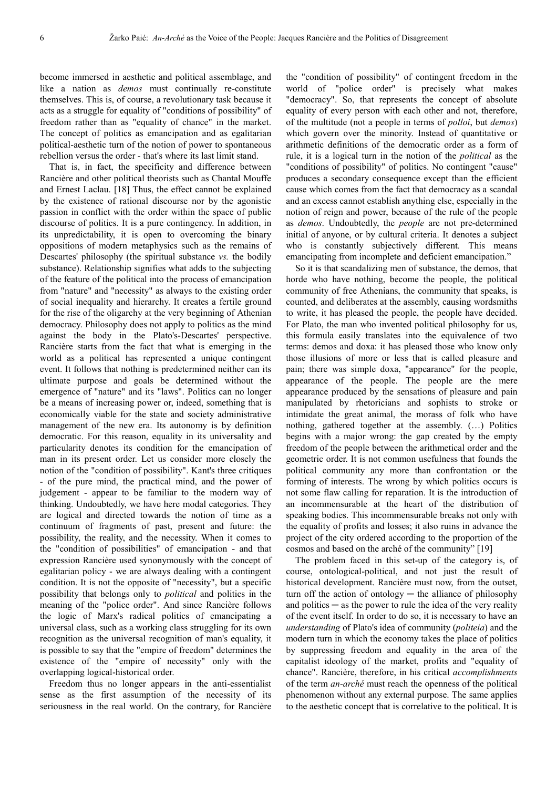become immersed in aesthetic and political assemblage, and like a nation as *demos* must continually re-constitute themselves. This is, of course, a revolutionary task because it acts as a struggle for equality of "conditions of possibility" of freedom rather than as "equality of chance" in the market. The concept of politics as emancipation and as egalitarian political-aesthetic turn of the notion of power to spontaneous rebellion versus the order - that's where its last limit stand.

That is, in fact, the specificity and difference between Rancière and other political theorists such as Chantal Mouffe and Ernest Laclau. [18] Thus, the effect cannot be explained by the existence of rational discourse nor by the agonistic passion in conflict with the order within the space of public discourse of politics. It is a pure contingency. In addition, in its unpredictability, it is open to overcoming the binary oppositions of modern metaphysics such as the remains of Descartes' philosophy (the spiritual substance *vs.* the bodily substance). Relationship signifies what adds to the subjecting of the feature of the political into the process of emancipation from "nature" and "necessity" as always to the existing order of social inequality and hierarchy. It creates a fertile ground for the rise of the oligarchy at the very beginning of Athenian democracy. Philosophy does not apply to politics as the mind against the body in the Plato's-Descartes' perspective. Rancière starts from the fact that what is emerging in the world as a political has represented a unique contingent event. It follows that nothing is predetermined neither can its ultimate purpose and goals be determined without the emergence of "nature" and its "laws". Politics can no longer be a means of increasing power or, indeed, something that is economically viable for the state and society administrative management of the new era. Its autonomy is by definition democratic. For this reason, equality in its universality and particularity denotes its condition for the emancipation of man in its present order. Let us consider more closely the notion of the "condition of possibility". Kant's three critiques - of the pure mind, the practical mind, and the power of judgement - appear to be familiar to the modern way of thinking. Undoubtedly, we have here modal categories. They are logical and directed towards the notion of time as a continuum of fragments of past, present and future: the possibility, the reality, and the necessity. When it comes to the "condition of possibilities" of emancipation - and that expression Rancière used synonymously with the concept of egalitarian policy - we are always dealing with a contingent condition. It is not the opposite of "necessity", but a specific possibility that belongs only to *political* and politics in the meaning of the "police order". And since Rancière follows the logic of Marx's radical politics of emancipating a universal class, such as a working class struggling for its own recognition as the universal recognition of man's equality, it is possible to say that the "empire of freedom" determines the existence of the "empire of necessity" only with the overlapping logical-historical order.

Freedom thus no longer appears in the anti-essentialist sense as the first assumption of the necessity of its seriousness in the real world. On the contrary, for Rancière

the "condition of possibility" of contingent freedom in the world of "police order" is precisely what makes "democracy". So, that represents the concept of absolute equality of every person with each other and not, therefore, of the multitude (not a people in terms of *polloi*, but *demos*) which govern over the minority. Instead of quantitative or arithmetic definitions of the democratic order as a form of rule, it is a logical turn in the notion of the *political* as the "conditions of possibility" of politics. No contingent "cause" produces a secondary consequence except than the efficient cause which comes from the fact that democracy as a scandal and an excess cannot establish anything else, especially in the notion of reign and power, because of the rule of the people as *demos*. Undoubtedly, the *people* are not pre-determined initial of anyone, or by cultural criteria. It denotes a subject who is constantly subjectively different. This means emancipating from incomplete and deficient emancipation."

So it is that scandalizing men of substance, the demos, that horde who have nothing, become the people, the political community of free Athenians, the community that speaks, is counted, and deliberates at the assembly, causing wordsmiths to write, it has pleased the people, the people have decided. For Plato, the man who invented political philosophy for us, this formula easily translates into the equivalence of two terms: demos and doxa: it has pleased those who know only those illusions of more or less that is called pleasure and pain; there was simple doxa, "appearance" for the people, appearance of the people. The people are the mere appearance produced by the sensations of pleasure and pain manipulated by rhetoricians and sophists to stroke or intimidate the great animal, the morass of folk who have nothing, gathered together at the assembly. (…) Politics begins with a major wrong: the gap created by the empty freedom of the people between the arithmetical order and the geometric order. It is not common usefulness that founds the political community any more than confrontation or the forming of interests. The wrong by which politics occurs is not some flaw calling for reparation. It is the introduction of an incommensurable at the heart of the distribution of speaking bodies. This incommensurable breaks not only with the equality of profits and losses; it also ruins in advance the project of the city ordered according to the proportion of the cosmos and based on the arché of the community" [19]

The problem faced in this set-up of the category is, of course, ontological-political, and not just the result of historical development. Rancière must now, from the outset, turn off the action of ontology  $-$  the alliance of philosophy and politics  $-$  as the power to rule the idea of the very reality of the event itself. In order to do so, it is necessary to have an *understanding* of Plato's idea of community (*politeia*) and the modern turn in which the economy takes the place of politics by suppressing freedom and equality in the area of the capitalist ideology of the market, profits and "equality of chance". Rancière, therefore, in his critical *accomplishments*  of the term *an-arché* must reach the openness of the political phenomenon without any external purpose. The same applies to the aesthetic concept that is correlative to the political. It is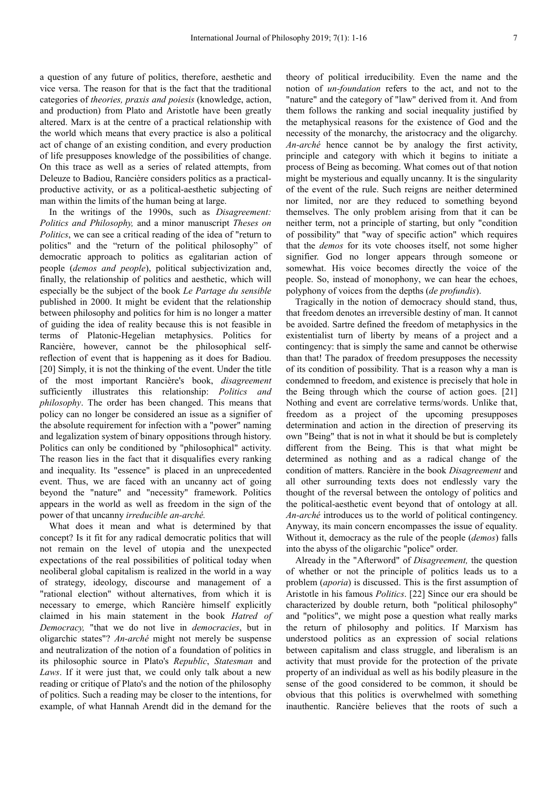a question of any future of politics, therefore, aesthetic and vice versa. The reason for that is the fact that the traditional categories of *theories, praxis and poiesis* (knowledge, action, and production) from Plato and Aristotle have been greatly altered. Marx is at the centre of a practical relationship with the world which means that every practice is also a political act of change of an existing condition, and every production of life presupposes knowledge of the possibilities of change. On this trace as well as a series of related attempts, from Deleuze to Badiou, Rancière considers politics as a practicalproductive activity, or as a political-aesthetic subjecting of man within the limits of the human being at large.

In the writings of the 1990s, such as *Disagreement: Politics and Philosophy,* and a minor manuscript *Theses on Politics*, we can see a critical reading of the idea of "return to politics" and the "return of the political philosophy" of democratic approach to politics as egalitarian action of people (*demos and people*), political subjectivization and, finally, the relationship of politics and aesthetic, which will especially be the subject of the book *Le Partage du sensible*  published in 2000. It might be evident that the relationship between philosophy and politics for him is no longer a matter of guiding the idea of reality because this is not feasible in terms of Platonic-Hegelian metaphysics. Politics for Rancière, however, cannot be the philosophical selfreflection of event that is happening as it does for Badiou. [20] Simply, it is not the thinking of the event. Under the title of the most important Rancière's book, *disagreement*  sufficiently illustrates this relationship: *Politics and philosophy*. The order has been changed. This means that policy can no longer be considered an issue as a signifier of the absolute requirement for infection with a "power" naming and legalization system of binary oppositions through history. Politics can only be conditioned by "philosophical" activity. The reason lies in the fact that it disqualifies every ranking and inequality. Its "essence" is placed in an unprecedented event. Thus, we are faced with an uncanny act of going beyond the "nature" and "necessity" framework. Politics appears in the world as well as freedom in the sign of the power of that uncanny *irreducible an-arché.*

What does it mean and what is determined by that concept? Is it fit for any radical democratic politics that will not remain on the level of utopia and the unexpected expectations of the real possibilities of political today when neoliberal global capitalism is realized in the world in a way of strategy, ideology, discourse and management of a "rational election" without alternatives, from which it is necessary to emerge, which Rancière himself explicitly claimed in his main statement in the book *Hatred of Democracy,* "that we do not live in *democracies*, but in oligarchic states"? *An-arché* might not merely be suspense and neutralization of the notion of a foundation of politics in its philosophic source in Plato's *Republic*, *Statesman* and *Laws*. If it were just that, we could only talk about a new reading or critique of Plato's and the notion of the philosophy of politics. Such a reading may be closer to the intentions, for example, of what Hannah Arendt did in the demand for the

theory of political irreducibility. Even the name and the notion of *un-foundation* refers to the act, and not to the "nature" and the category of "law" derived from it. And from them follows the ranking and social inequality justified by the metaphysical reasons for the existence of God and the necessity of the monarchy, the aristocracy and the oligarchy. *An-arché* hence cannot be by analogy the first activity, principle and category with which it begins to initiate a process of Being as becoming. What comes out of that notion might be mysterious and equally uncanny. It is the singularity of the event of the rule. Such reigns are neither determined nor limited, nor are they reduced to something beyond themselves. The only problem arising from that it can be neither term, not a principle of starting, but only "condition of possibility" that "way of specific action" which requires that the *demos* for its vote chooses itself, not some higher signifier. God no longer appears through someone or somewhat. His voice becomes directly the voice of the people. So, instead of monophony, we can hear the echoes, polyphony of voices from the depths (*de profundis*).

Tragically in the notion of democracy should stand, thus, that freedom denotes an irreversible destiny of man. It cannot be avoided. Sartre defined the freedom of metaphysics in the existentialist turn of liberty by means of a project and a contingency: that is simply the same and cannot be otherwise than that! The paradox of freedom presupposes the necessity of its condition of possibility. That is a reason why a man is condemned to freedom, and existence is precisely that hole in the Being through which the course of action goes. [21] Nothing and event are correlative terms/words. Unlike that, freedom as a project of the upcoming presupposes determination and action in the direction of preserving its own "Being" that is not in what it should be but is completely different from the Being. This is that what might be determined as nothing and as a radical change of the condition of matters. Rancière in the book *Disagreement* and all other surrounding texts does not endlessly vary the thought of the reversal between the ontology of politics and the political-aesthetic event beyond that of ontology at all. *An-arché* introduces us to the world of political contingency. Anyway, its main concern encompasses the issue of equality. Without it, democracy as the rule of the people (*demos*) falls into the abyss of the oligarchic "police" order.

Already in the "Afterword" of *Disagreement,* the question of whether or not the principle of politics leads us to a problem (*aporia*) is discussed. This is the first assumption of Aristotle in his famous *Politics*. [22] Since our era should be characterized by double return, both "political philosophy" and "politics", we might pose a question what really marks the return of philosophy and politics. If Marxism has understood politics as an expression of social relations between capitalism and class struggle, and liberalism is an activity that must provide for the protection of the private property of an individual as well as his bodily pleasure in the sense of the good considered to be common, it should be obvious that this politics is overwhelmed with something inauthentic. Rancière believes that the roots of such a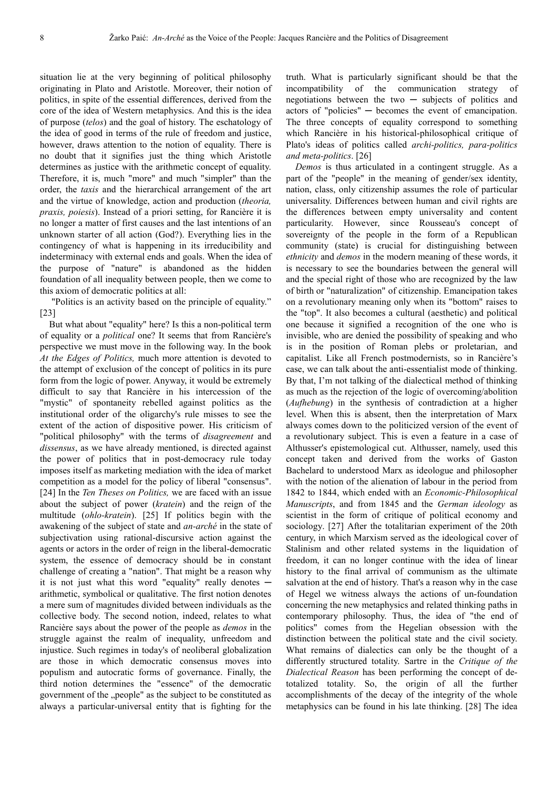situation lie at the very beginning of political philosophy originating in Plato and Aristotle. Moreover, their notion of politics, in spite of the essential differences, derived from the core of the idea of Western metaphysics. And this is the idea of purpose (*telos*) and the goal of history. The eschatology of the idea of good in terms of the rule of freedom and justice, however, draws attention to the notion of equality. There is no doubt that it signifies just the thing which Aristotle determines as justice with the arithmetic concept of equality. Therefore, it is, much "more" and much "simpler" than the order, the *taxis* and the hierarchical arrangement of the art and the virtue of knowledge, action and production (*theoria, praxis, poiesis*). Instead of a priori setting, for Rancière it is no longer a matter of first causes and the last intentions of an unknown starter of all action (God?). Everything lies in the contingency of what is happening in its irreducibility and indeterminacy with external ends and goals. When the idea of the purpose of "nature" is abandoned as the hidden foundation of all inequality between people, then we come to this axiom of democratic politics at all:

 "Politics is an activity based on the principle of equality." [23]

But what about "equality" here? Is this a non-political term of equality or a *political* one? It seems that from Rancière's perspective we must move in the following way. In the book *At the Edges of Politics,* much more attention is devoted to the attempt of exclusion of the concept of politics in its pure form from the logic of power. Anyway, it would be extremely difficult to say that Rancière in his intercession of the "mystic" of spontaneity rebelled against politics as the institutional order of the oligarchy's rule misses to see the extent of the action of dispositive power. His criticism of "political philosophy" with the terms of *disagreement* and *dissensus*, as we have already mentioned, is directed against the power of politics that in post-democracy rule today imposes itself as marketing mediation with the idea of market competition as a model for the policy of liberal "consensus". [24] In the *Ten Theses on Politics,* we are faced with an issue about the subject of power (*kratein*) and the reign of the multitude (*ohlo-kratein*). [25] If politics begin with the awakening of the subject of state and *an-arché* in the state of subjectivation using rational-discursive action against the agents or actors in the order of reign in the liberal-democratic system, the essence of democracy should be in constant challenge of creating a "nation". That might be a reason why it is not just what this word "equality" really denotes  $$ arithmetic, symbolical or qualitative. The first notion denotes a mere sum of magnitudes divided between individuals as the collective body. The second notion, indeed, relates to what Rancière says about the power of the people as *demos* in the struggle against the realm of inequality, unfreedom and injustice. Such regimes in today's of neoliberal globalization are those in which democratic consensus moves into populism and autocratic forms of governance. Finally, the third notion determines the "essence" of the democratic government of the "people" as the subject to be constituted as always a particular-universal entity that is fighting for the

truth. What is particularly significant should be that the incompatibility of the communication strategy of negotiations between the two  $-$  subjects of politics and actors of "policies" ─ becomes the event of emancipation. The three concepts of equality correspond to something which Rancière in his historical-philosophical critique of Plato's ideas of politics called *archi-politics, para-politics and meta-politics*. [26]

*Demos* is thus articulated in a contingent struggle. As a part of the "people" in the meaning of gender/sex identity, nation, class, only citizenship assumes the role of particular universality. Differences between human and civil rights are the differences between empty universality and content particularity. However, since Rousseau's concept of sovereignty of the people in the form of a Republican community (state) is crucial for distinguishing between *ethnicity* and *demos* in the modern meaning of these words, it is necessary to see the boundaries between the general will and the special right of those who are recognized by the law of birth or "naturalization" of citizenship. Emancipation takes on a revolutionary meaning only when its "bottom" raises to the "top". It also becomes a cultural (aesthetic) and political one because it signified a recognition of the one who is invisible, who are denied the possibility of speaking and who is in the position of Roman plebs or proletarian, and capitalist. Like all French postmodernists, so in Rancière's case, we can talk about the anti-essentialist mode of thinking. By that, I'm not talking of the dialectical method of thinking as much as the rejection of the logic of overcoming/abolition (*Aufhebung*) in the synthesis of contradiction at a higher level. When this is absent, then the interpretation of Marx always comes down to the politicized version of the event of a revolutionary subject. This is even a feature in a case of Althusser's epistemological cut. Althusser, namely, used this concept taken and derived from the works of Gaston Bachelard to understood Marx as ideologue and philosopher with the notion of the alienation of labour in the period from 1842 to 1844, which ended with an *Economic-Philosophical Manuscripts*, and from 1845 and the *German ideology* as scientist in the form of critique of political economy and sociology. [27] After the totalitarian experiment of the 20th century, in which Marxism served as the ideological cover of Stalinism and other related systems in the liquidation of freedom, it can no longer continue with the idea of linear history to the final arrival of communism as the ultimate salvation at the end of history. That's a reason why in the case of Hegel we witness always the actions of un-foundation concerning the new metaphysics and related thinking paths in contemporary philosophy. Thus, the idea of "the end of politics" comes from the Hegelian obsession with the distinction between the political state and the civil society. What remains of dialectics can only be the thought of a differently structured totality. Sartre in the *Critique of the Dialectical Reason* has been performing the concept of detotalized totality. So, the origin of all the further accomplishments of the decay of the integrity of the whole metaphysics can be found in his late thinking. [28] The idea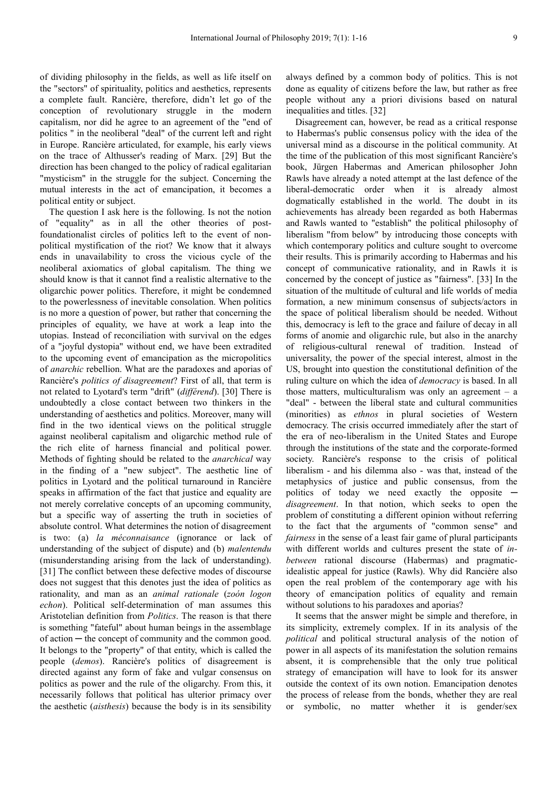of dividing philosophy in the fields, as well as life itself on the "sectors" of spirituality, politics and aesthetics, represents a complete fault. Rancière, therefore, didn't let go of the conception of revolutionary struggle in the modern capitalism, nor did he agree to an agreement of the "end of politics " in the neoliberal "deal" of the current left and right in Europe. Rancière articulated, for example, his early views on the trace of Althusser's reading of Marx. [29] But the direction has been changed to the policy of radical egalitarian "mysticism" in the struggle for the subject. Concerning the mutual interests in the act of emancipation, it becomes a political entity or subject.

The question I ask here is the following. Is not the notion of "equality" as in all the other theories of postfoundationalist circles of politics left to the event of nonpolitical mystification of the riot? We know that it always ends in unavailability to cross the vicious cycle of the neoliberal axiomatics of global capitalism. The thing we should know is that it cannot find a realistic alternative to the oligarchic power politics. Therefore, it might be condemned to the powerlessness of inevitable consolation. When politics is no more a question of power, but rather that concerning the principles of equality, we have at work a leap into the utopias. Instead of reconciliation with survival on the edges of a "joyful dystopia" without end, we have been extradited to the upcoming event of emancipation as the micropolitics of *anarchic* rebellion. What are the paradoxes and aporias of Rancière's *politics of disagreement*? First of all, that term is not related to Lyotard's term "drift" (*différend*). [30] There is undoubtedly a close contact between two thinkers in the understanding of aesthetics and politics. Moreover, many will find in the two identical views on the political struggle against neoliberal capitalism and oligarchic method rule of the rich elite of harness financial and political power. Methods of fighting should be related to the *anarchical* way in the finding of a "new subject". The aesthetic line of politics in Lyotard and the political turnaround in Rancière speaks in affirmation of the fact that justice and equality are not merely correlative concepts of an upcoming community, but a specific way of asserting the truth in societies of absolute control. What determines the notion of disagreement is two: (a) *la méconnaisance* (ignorance or lack of understanding of the subject of dispute) and (b) *malentendu*  (misunderstanding arising from the lack of understanding). [31] The conflict between these defective modes of discourse does not suggest that this denotes just the idea of politics as rationality, and man as an *animal rationale* (*zoón logon echon*). Political self-determination of man assumes this Aristotelian definition from *Politics*. The reason is that there is something "fateful" about human beings in the assemblage of action ─ the concept of community and the common good. It belongs to the "property" of that entity, which is called the people (*demos*). Rancière's politics of disagreement is directed against any form of fake and vulgar consensus on politics as power and the rule of the oligarchy. From this, it necessarily follows that political has ulterior primacy over the aesthetic (*aisthesis*) because the body is in its sensibility always defined by a common body of politics. This is not done as equality of citizens before the law, but rather as free people without any a priori divisions based on natural inequalities and titles. [32]

Disagreement can, however, be read as a critical response to Habermas's public consensus policy with the idea of the universal mind as a discourse in the political community. At the time of the publication of this most significant Rancière's book, Jürgen Habermas and American philosopher John Rawls have already a noted attempt at the last defence of the liberal-democratic order when it is already almost dogmatically established in the world. The doubt in its achievements has already been regarded as both Habermas and Rawls wanted to "establish" the political philosophy of liberalism "from below" by introducing those concepts with which contemporary politics and culture sought to overcome their results. This is primarily according to Habermas and his concept of communicative rationality, and in Rawls it is concerned by the concept of justice as "fairness". [33] In the situation of the multitude of cultural and life worlds of media formation, a new minimum consensus of subjects/actors in the space of political liberalism should be needed. Without this, democracy is left to the grace and failure of decay in all forms of anomie and oligarchic rule, but also in the anarchy of religious-cultural renewal of tradition. Instead of universality, the power of the special interest, almost in the US, brought into question the constitutional definition of the ruling culture on which the idea of *democracy* is based. In all those matters, multiculturalism was only an agreement  $-$  a "deal" - between the liberal state and cultural communities (minorities) as *ethnos* in plural societies of Western democracy. The crisis occurred immediately after the start of the era of neo-liberalism in the United States and Europe through the institutions of the state and the corporate-formed society. Rancière's response to the crisis of political liberalism - and his dilemma also - was that, instead of the metaphysics of justice and public consensus, from the politics of today we need exactly the opposite *disagreement*. In that notion, which seeks to open the problem of constituting a different opinion without referring to the fact that the arguments of "common sense" and *fairness* in the sense of a least fair game of plural participants with different worlds and cultures present the state of *inbetween* rational discourse (Habermas) and pragmaticidealistic appeal for justice (Rawls). Why did Rancière also open the real problem of the contemporary age with his theory of emancipation politics of equality and remain without solutions to his paradoxes and aporias?

It seems that the answer might be simple and therefore, in its simplicity, extremely complex. If in its analysis of the *political* and political structural analysis of the notion of power in all aspects of its manifestation the solution remains absent, it is comprehensible that the only true political strategy of emancipation will have to look for its answer outside the context of its own notion. Emancipation denotes the process of release from the bonds, whether they are real or symbolic, no matter whether it is gender/sex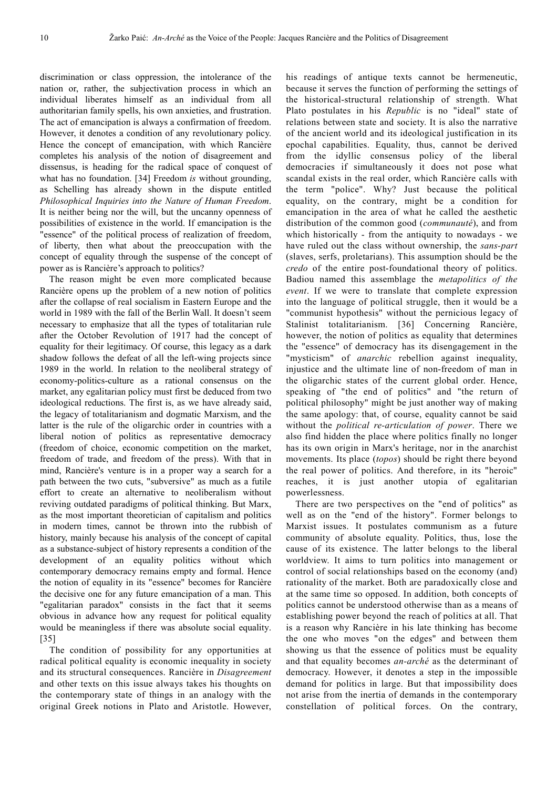discrimination or class oppression, the intolerance of the nation or, rather, the subjectivation process in which an individual liberates himself as an individual from all authoritarian family spells, his own anxieties, and frustration. The act of emancipation is always a confirmation of freedom. However, it denotes a condition of any revolutionary policy. Hence the concept of emancipation, with which Rancière completes his analysis of the notion of disagreement and dissensus, is heading for the radical space of conquest of what has no foundation. [34] Freedom *is* without grounding, as Schelling has already shown in the dispute entitled *Philosophical Inquiries into the Nature of Human Freedom*. It is neither being nor the will, but the uncanny openness of possibilities of existence in the world. If emancipation is the "essence" of the political process of realization of freedom, of liberty, then what about the preoccupation with the concept of equality through the suspense of the concept of power as is Rancière's approach to politics?

The reason might be even more complicated because Rancière opens up the problem of a new notion of politics after the collapse of real socialism in Eastern Europe and the world in 1989 with the fall of the Berlin Wall. It doesn't seem necessary to emphasize that all the types of totalitarian rule after the October Revolution of 1917 had the concept of equality for their legitimacy. Of course, this legacy as a dark shadow follows the defeat of all the left-wing projects since 1989 in the world. In relation to the neoliberal strategy of economy-politics-culture as a rational consensus on the market, any egalitarian policy must first be deduced from two ideological reductions. The first is, as we have already said, the legacy of totalitarianism and dogmatic Marxism, and the latter is the rule of the oligarchic order in countries with a liberal notion of politics as representative democracy (freedom of choice, economic competition on the market, freedom of trade, and freedom of the press). With that in mind, Rancière's venture is in a proper way a search for a path between the two cuts, "subversive" as much as a futile effort to create an alternative to neoliberalism without reviving outdated paradigms of political thinking. But Marx, as the most important theoretician of capitalism and politics in modern times, cannot be thrown into the rubbish of history, mainly because his analysis of the concept of capital as a substance-subject of history represents a condition of the development of an equality politics without which contemporary democracy remains empty and formal. Hence the notion of equality in its "essence" becomes for Rancière the decisive one for any future emancipation of a man. This "egalitarian paradox" consists in the fact that it seems obvious in advance how any request for political equality would be meaningless if there was absolute social equality. [35]

The condition of possibility for any opportunities at radical political equality is economic inequality in society and its structural consequences. Rancière in *Disagreement*  and other texts on this issue always takes his thoughts on the contemporary state of things in an analogy with the original Greek notions in Plato and Aristotle. However,

his readings of antique texts cannot be hermeneutic, because it serves the function of performing the settings of the historical-structural relationship of strength. What Plato postulates in his *Republic* is no "ideal" state of relations between state and society. It is also the narrative of the ancient world and its ideological justification in its epochal capabilities. Equality, thus, cannot be derived from the idyllic consensus policy of the liberal democracies if simultaneously it does not pose what scandal exists in the real order, which Rancière calls with the term "police". Why? Just because the political equality, on the contrary, might be a condition for emancipation in the area of what he called the aesthetic distribution of the common good (*communauté*), and from which historically - from the antiquity to nowadays - we have ruled out the class without ownership, the *sans-part*  (slaves, serfs, proletarians). This assumption should be the *credo* of the entire post-foundational theory of politics. Badiou named this assemblage the *metapolitics of the event*. If we were to translate that complete expression into the language of political struggle, then it would be a "communist hypothesis" without the pernicious legacy of Stalinist totalitarianism. [36] Concerning Rancière, however, the notion of politics as equality that determines the "essence" of democracy has its disengagement in the "mysticism" of *anarchic* rebellion against inequality, injustice and the ultimate line of non-freedom of man in the oligarchic states of the current global order. Hence, speaking of "the end of politics" and "the return of political philosophy" might be just another way of making the same apology: that, of course, equality cannot be said without the *political re-articulation of power*. There we also find hidden the place where politics finally no longer has its own origin in Marx's heritage, nor in the anarchist movements. Its place (*topos*) should be right there beyond the real power of politics. And therefore, in its "heroic" reaches, it is just another utopia of egalitarian powerlessness.

There are two perspectives on the "end of politics" as well as on the "end of the history". Former belongs to Marxist issues. It postulates communism as a future community of absolute equality. Politics, thus, lose the cause of its existence. The latter belongs to the liberal worldview. It aims to turn politics into management or control of social relationships based on the economy (and) rationality of the market. Both are paradoxically close and at the same time so opposed. In addition, both concepts of politics cannot be understood otherwise than as a means of establishing power beyond the reach of politics at all. That is a reason why Rancière in his late thinking has become the one who moves "on the edges" and between them showing us that the essence of politics must be equality and that equality becomes *an-arché* as the determinant of democracy. However, it denotes a step in the impossible demand for politics in large. But that impossibility does not arise from the inertia of demands in the contemporary constellation of political forces. On the contrary,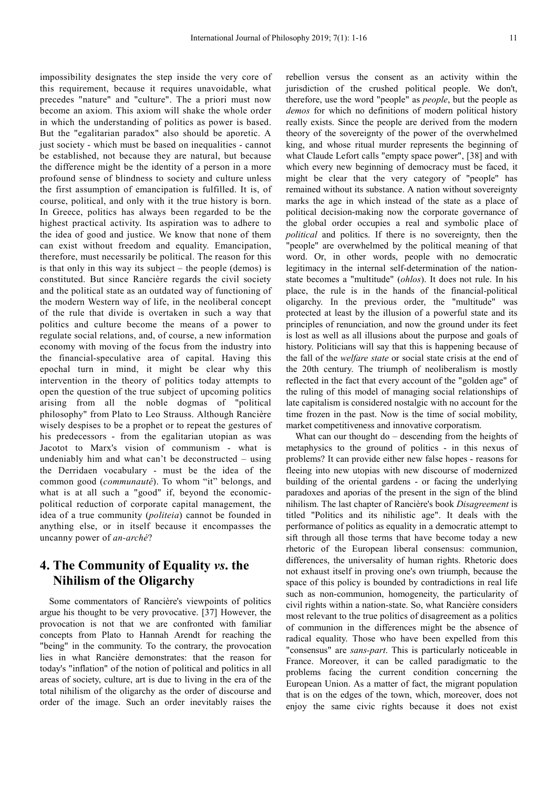impossibility designates the step inside the very core of this requirement, because it requires unavoidable, what precedes "nature" and "culture". The a priori must now become an axiom. This axiom will shake the whole order in which the understanding of politics as power is based. But the "egalitarian paradox" also should be aporetic. A just society - which must be based on inequalities - cannot be established, not because they are natural, but because the difference might be the identity of a person in a more profound sense of blindness to society and culture unless the first assumption of emancipation is fulfilled. It is, of course, political, and only with it the true history is born. In Greece, politics has always been regarded to be the highest practical activity. Its aspiration was to adhere to the idea of good and justice. We know that none of them can exist without freedom and equality. Emancipation, therefore, must necessarily be political. The reason for this is that only in this way its subject – the people (demos) is constituted. But since Rancière regards the civil society and the political state as an outdated way of functioning of the modern Western way of life, in the neoliberal concept of the rule that divide is overtaken in such a way that politics and culture become the means of a power to regulate social relations, and, of course, a new information economy with moving of the focus from the industry into the financial-speculative area of capital. Having this epochal turn in mind, it might be clear why this intervention in the theory of politics today attempts to open the question of the true subject of upcoming politics arising from all the noble dogmas of "political philosophy" from Plato to Leo Strauss. Although Rancière wisely despises to be a prophet or to repeat the gestures of his predecessors - from the egalitarian utopian as was Jacotot to Marx's vision of communism - what is undeniably him and what can't be deconstructed – using the Derridaen vocabulary - must be the idea of the common good (*communauté*). To whom "it" belongs, and what is at all such a "good" if, beyond the economicpolitical reduction of corporate capital management, the idea of a true community (*politeia*) cannot be founded in anything else, or in itself because it encompasses the uncanny power of *an-arché*?

## **4. The Community of Equality** *vs***. the Nihilism of the Oligarchy**

Some commentators of Rancière's viewpoints of politics argue his thought to be very provocative. [37] However, the provocation is not that we are confronted with familiar concepts from Plato to Hannah Arendt for reaching the "being" in the community. To the contrary, the provocation lies in what Rancière demonstrates: that the reason for today's "inflation" of the notion of political and politics in all areas of society, culture, art is due to living in the era of the total nihilism of the oligarchy as the order of discourse and order of the image. Such an order inevitably raises the

rebellion versus the consent as an activity within the jurisdiction of the crushed political people. We don't, therefore, use the word "people" as *people*, but the people as *demos* for which no definitions of modern political history really exists. Since the people are derived from the modern theory of the sovereignty of the power of the overwhelmed king, and whose ritual murder represents the beginning of what Claude Lefort calls "empty space power", [38] and with which every new beginning of democracy must be faced, it might be clear that the very category of "people" has remained without its substance. A nation without sovereignty marks the age in which instead of the state as a place of political decision-making now the corporate governance of the global order occupies a real and symbolic place of *political* and politics. If there is no sovereignty, then the "people" are overwhelmed by the political meaning of that word. Or, in other words, people with no democratic legitimacy in the internal self-determination of the nationstate becomes a "multitude" (*ohlos*). It does not rule. In his place, the rule is in the hands of the financial-political oligarchy. In the previous order, the "multitude" was protected at least by the illusion of a powerful state and its principles of renunciation, and now the ground under its feet is lost as well as all illusions about the purpose and goals of history. Politicians will say that this is happening because of the fall of the *welfare state* or social state crisis at the end of the 20th century. The triumph of neoliberalism is mostly reflected in the fact that every account of the "golden age" of the ruling of this model of managing social relationships of late capitalism is considered nostalgic with no account for the time frozen in the past. Now is the time of social mobility, market competitiveness and innovative corporatism.

What can our thought do – descending from the heights of metaphysics to the ground of politics - in this nexus of problems? It can provide either new false hopes - reasons for fleeing into new utopias with new discourse of modernized building of the oriental gardens - or facing the underlying paradoxes and aporias of the present in the sign of the blind nihilism. The last chapter of Rancière's book *Disagreement* is titled "Politics and its nihilistic age". It deals with the performance of politics as equality in a democratic attempt to sift through all those terms that have become today a new rhetoric of the European liberal consensus: communion, differences, the universality of human rights. Rhetoric does not exhaust itself in proving one's own triumph, because the space of this policy is bounded by contradictions in real life such as non-communion, homogeneity, the particularity of civil rights within a nation-state. So, what Rancière considers most relevant to the true politics of disagreement as a politics of communion in the differences might be the absence of radical equality. Those who have been expelled from this "consensus" are *sans-part*. This is particularly noticeable in France. Moreover, it can be called paradigmatic to the problems facing the current condition concerning the European Union. As a matter of fact, the migrant population that is on the edges of the town, which, moreover, does not enjoy the same civic rights because it does not exist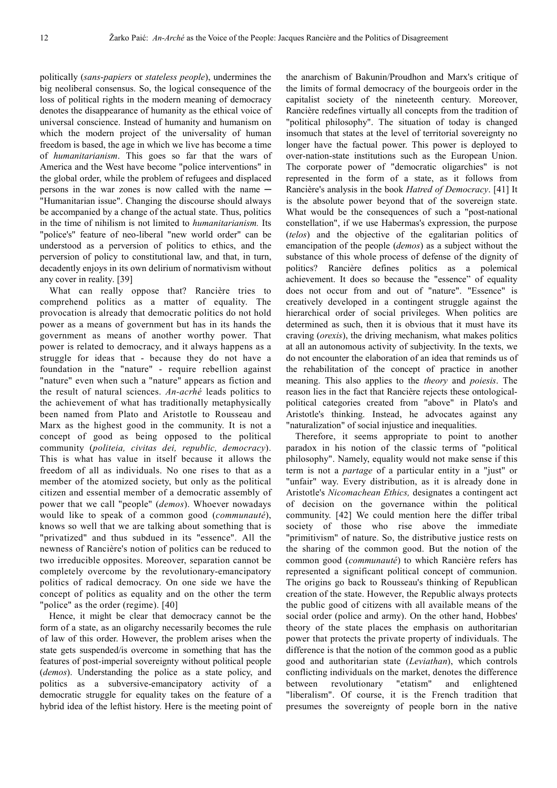politically (*sans*-*papiers* or *stateless people*), undermines the big neoliberal consensus. So, the logical consequence of the loss of political rights in the modern meaning of democracy denotes the disappearance of humanity as the ethical voice of universal conscience. Instead of humanity and humanism on which the modern project of the universality of human freedom is based, the age in which we live has become a time of *humanitarianism*. This goes so far that the wars of America and the West have become "police interventions" in the global order, while the problem of refugees and displaced persons in the war zones is now called with the name — "Humanitarian issue". Changing the discourse should always be accompanied by a change of the actual state. Thus, politics in the time of nihilism is not limited to *humanitarianism.* Its "police's" feature of neo-liberal "new world order" can be understood as a perversion of politics to ethics, and the perversion of policy to constitutional law, and that, in turn, decadently enjoys in its own delirium of normativism without any cover in reality. [39]

What can really oppose that? Rancière tries to comprehend politics as a matter of equality. The provocation is already that democratic politics do not hold power as a means of government but has in its hands the government as means of another worthy power. That power is related to democracy, and it always happens as a struggle for ideas that - because they do not have a foundation in the "nature" - require rebellion against "nature" even when such a "nature" appears as fiction and the result of natural sciences. *An-acrhé* leads politics to the achievement of what has traditionally metaphysically been named from Plato and Aristotle to Rousseau and Marx as the highest good in the community. It is not a concept of good as being opposed to the political community (*politeia, civitas dei, republic, democracy*). This is what has value in itself because it allows the freedom of all as individuals. No one rises to that as a member of the atomized society, but only as the political citizen and essential member of a democratic assembly of power that we call "people" (*demos*). Whoever nowadays would like to speak of a common good (*communauté*), knows so well that we are talking about something that is "privatized" and thus subdued in its "essence". All the newness of Rancière's notion of politics can be reduced to two irreducible opposites. Moreover, separation cannot be completely overcome by the revolutionary-emancipatory politics of radical democracy. On one side we have the concept of politics as equality and on the other the term "police" as the order (regime). [40]

Hence, it might be clear that democracy cannot be the form of a state, as an oligarchy necessarily becomes the rule of law of this order. However, the problem arises when the state gets suspended/is overcome in something that has the features of post-imperial sovereignty without political people (*demos*). Understanding the police as a state policy, and politics as a subversive-emancipatory activity of a democratic struggle for equality takes on the feature of a hybrid idea of the leftist history. Here is the meeting point of the anarchism of Bakunin/Proudhon and Marx's critique of the limits of formal democracy of the bourgeois order in the capitalist society of the nineteenth century. Moreover, Rancière redefines virtually all concepts from the tradition of "political philosophy". The situation of today is changed insomuch that states at the level of territorial sovereignty no longer have the factual power. This power is deployed to over-nation-state institutions such as the European Union. The corporate power of "democratic oligarchies" is not represented in the form of a state, as it follows from Rancière's analysis in the book *Hatred of Democracy*. [41] It is the absolute power beyond that of the sovereign state. What would be the consequences of such a "post-national constellation", if we use Habermas's expression, the purpose (*telos*) and the objective of the egalitarian politics of emancipation of the people (*demos*) as a subject without the substance of this whole process of defense of the dignity of politics? Rancière defines politics as a polemical achievement. It does so because the "essence" of equality does not occur from and out of "nature". "Essence" is creatively developed in a contingent struggle against the hierarchical order of social privileges. When politics are determined as such, then it is obvious that it must have its craving (*orexis*), the driving mechanism, what makes politics at all an autonomous activity of subjectivity. In the texts, we do not encounter the elaboration of an idea that reminds us of the rehabilitation of the concept of practice in another meaning. This also applies to the *theory* and *poiesis*. The reason lies in the fact that Rancière rejects these ontologicalpolitical categories created from "above" in Plato's and Aristotle's thinking. Instead, he advocates against any "naturalization" of social injustice and inequalities.

Therefore, it seems appropriate to point to another paradox in his notion of the classic terms of "political philosophy". Namely, equality would not make sense if this term is not a *partage* of a particular entity in a "just" or "unfair" way. Every distribution, as it is already done in Aristotle's *Nicomachean Ethics,* designates a contingent act of decision on the governance within the political community. [42] We could mention here the differ tribal society of those who rise above the immediate "primitivism" of nature. So, the distributive justice rests on the sharing of the common good. But the notion of the common good (*communauté*) to which Rancière refers has represented a significant political concept of communion. The origins go back to Rousseau's thinking of Republican creation of the state. However, the Republic always protects the public good of citizens with all available means of the social order (police and army). On the other hand, Hobbes' theory of the state places the emphasis on authoritarian power that protects the private property of individuals. The difference is that the notion of the common good as a public good and authoritarian state (*Leviathan*), which controls conflicting individuals on the market, denotes the difference between revolutionary "etatism" and enlightened "liberalism". Of course, it is the French tradition that presumes the sovereignty of people born in the native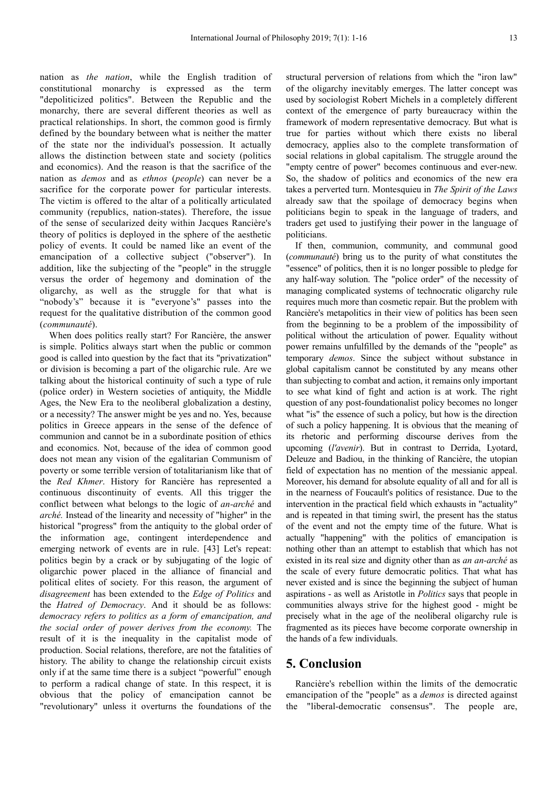nation as *the nation*, while the English tradition of constitutional monarchy is expressed as the term "depoliticized politics". Between the Republic and the monarchy, there are several different theories as well as practical relationships. In short, the common good is firmly defined by the boundary between what is neither the matter of the state nor the individual's possession. It actually allows the distinction between state and society (politics and economics). And the reason is that the sacrifice of the nation as *demos* and as *ethnos* (*people*) can never be a sacrifice for the corporate power for particular interests. The victim is offered to the altar of a politically articulated community (republics, nation-states). Therefore, the issue of the sense of secularized deity within Jacques Rancière's theory of politics is deployed in the sphere of the aesthetic policy of events. It could be named like an event of the emancipation of a collective subject ("observer"). In addition, like the subjecting of the "people" in the struggle versus the order of hegemony and domination of the oligarchy, as well as the struggle for that what is "nobody's" because it is "everyone's" passes into the request for the qualitative distribution of the common good (*communauté*).

When does politics really start? For Rancière, the answer is simple. Politics always start when the public or common good is called into question by the fact that its "privatization" or division is becoming a part of the oligarchic rule. Are we talking about the historical continuity of such a type of rule (police order) in Western societies of antiquity, the Middle Ages, the New Era to the neoliberal globalization a destiny, or a necessity? The answer might be yes and no. Yes, because politics in Greece appears in the sense of the defence of communion and cannot be in a subordinate position of ethics and economics. Not, because of the idea of common good does not mean any vision of the egalitarian Communism of poverty or some terrible version of totalitarianism like that of the *Red Khmer*. History for Rancière has represented a continuous discontinuity of events. All this trigger the conflict between what belongs to the logic of *an-arché* and *arché.* Instead of the linearity and necessity of "higher" in the historical "progress" from the antiquity to the global order of the information age, contingent interdependence and emerging network of events are in rule. [43] Let's repeat: politics begin by a crack or by subjugating of the logic of oligarchic power placed in the alliance of financial and political elites of society. For this reason, the argument of *disagreement* has been extended to the *Edge of Politics* and the *Hatred of Democracy*. And it should be as follows: *democracy refers to politics as a form of emancipation, and the social order of power derives from the economy.* The result of it is the inequality in the capitalist mode of production. Social relations, therefore, are not the fatalities of history. The ability to change the relationship circuit exists only if at the same time there is a subject "powerful" enough to perform a radical change of state. In this respect, it is obvious that the policy of emancipation cannot be "revolutionary" unless it overturns the foundations of the

structural perversion of relations from which the "iron law" of the oligarchy inevitably emerges. The latter concept was used by sociologist Robert Michels in a completely different context of the emergence of party bureaucracy within the framework of modern representative democracy. But what is true for parties without which there exists no liberal democracy, applies also to the complete transformation of social relations in global capitalism. The struggle around the "empty centre of power" becomes continuous and ever-new. So, the shadow of politics and economics of the new era takes a perverted turn. Montesquieu in *The Spirit of the Laws*  already saw that the spoilage of democracy begins when politicians begin to speak in the language of traders, and traders get used to justifying their power in the language of politicians.

If then, communion, community, and communal good (*communauté*) bring us to the purity of what constitutes the "essence" of politics, then it is no longer possible to pledge for any half-way solution. The "police order" of the necessity of managing complicated systems of technocratic oligarchy rule requires much more than cosmetic repair. But the problem with Rancière's metapolitics in their view of politics has been seen from the beginning to be a problem of the impossibility of political without the articulation of power. Equality without power remains unfulfilled by the demands of the "people" as temporary *demos*. Since the subject without substance in global capitalism cannot be constituted by any means other than subjecting to combat and action, it remains only important to see what kind of fight and action is at work. The right question of any post-foundationalist policy becomes no longer what "is" the essence of such a policy, but how is the direction of such a policy happening. It is obvious that the meaning of its rhetoric and performing discourse derives from the upcoming (*l'avenir*). But in contrast to Derrida, Lyotard, Deleuze and Badiou, in the thinking of Rancière, the utopian field of expectation has no mention of the messianic appeal. Moreover, his demand for absolute equality of all and for all is in the nearness of Foucault's politics of resistance. Due to the intervention in the practical field which exhausts in "actuality" and is repeated in that timing swirl, the present has the status of the event and not the empty time of the future. What is actually "happening" with the politics of emancipation is nothing other than an attempt to establish that which has not existed in its real size and dignity other than as *an an-arché* as the scale of every future democratic politics. That what has never existed and is since the beginning the subject of human aspirations - as well as Aristotle in *Politics* says that people in communities always strive for the highest good - might be precisely what in the age of the neoliberal oligarchy rule is fragmented as its pieces have become corporate ownership in the hands of a few individuals.

#### **5. Conclusion**

Rancière's rebellion within the limits of the democratic emancipation of the "people" as a *demos* is directed against the "liberal-democratic consensus". The people are,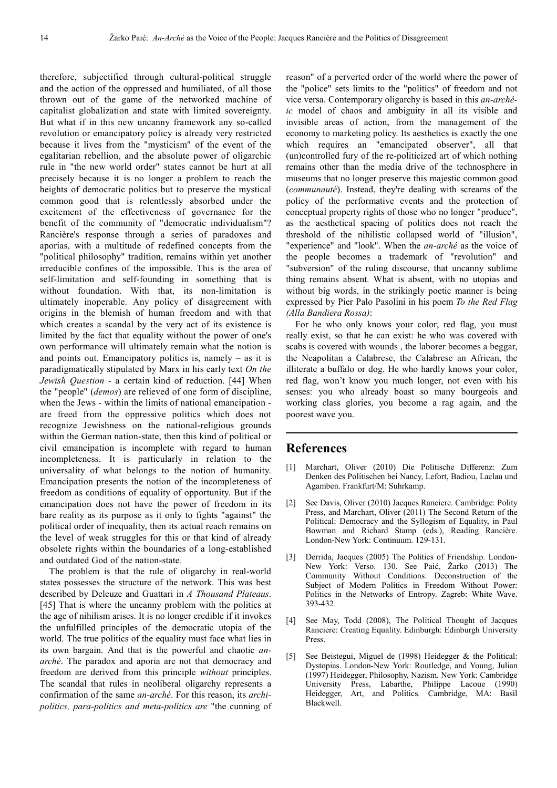therefore, subjectified through cultural-political struggle and the action of the oppressed and humiliated, of all those thrown out of the game of the networked machine of capitalist globalization and state with limited sovereignty. But what if in this new uncanny framework any so-called revolution or emancipatory policy is already very restricted because it lives from the "mysticism" of the event of the egalitarian rebellion, and the absolute power of oligarchic rule in "the new world order" states cannot be hurt at all precisely because it is no longer a problem to reach the heights of democratic politics but to preserve the mystical common good that is relentlessly absorbed under the excitement of the effectiveness of governance for the benefit of the community of "democratic individualism"? Rancière's response through a series of paradoxes and aporias, with a multitude of redefined concepts from the "political philosophy" tradition, remains within yet another irreducible confines of the impossible. This is the area of self-limitation and self-founding in something that is without foundation. With that, its non-limitation is ultimately inoperable. Any policy of disagreement with origins in the blemish of human freedom and with that which creates a scandal by the very act of its existence is limited by the fact that equality without the power of one's own performance will ultimately remain what the notion is and points out. Emancipatory politics is, namely  $-$  as it is paradigmatically stipulated by Marx in his early text *On the Jewish Question* - a certain kind of reduction. [44] When the "people" (*demos*) are relieved of one form of discipline, when the Jews - within the limits of national emancipation are freed from the oppressive politics which does not recognize Jewishness on the national-religious grounds within the German nation-state, then this kind of political or civil emancipation is incomplete with regard to human incompleteness. It is particularly in relation to the universality of what belongs to the notion of humanity. Emancipation presents the notion of the incompleteness of freedom as conditions of equality of opportunity. But if the emancipation does not have the power of freedom in its bare reality as its purpose as it only to fights "against" the political order of inequality, then its actual reach remains on the level of weak struggles for this or that kind of already obsolete rights within the boundaries of a long-established and outdated God of the nation-state.

The problem is that the rule of oligarchy in real-world states possesses the structure of the network. This was best described by Deleuze and Guattari in *A Thousand Plateaus*. [45] That is where the uncanny problem with the politics at the age of nihilism arises. It is no longer credible if it invokes the unfulfilled principles of the democratic utopia of the world. The true politics of the equality must face what lies in its own bargain. And that is the powerful and chaotic *anarché*. The paradox and aporia are not that democracy and freedom are derived from this principle *without* principles. The scandal that rules in neoliberal oligarchy represents a confirmation of the same *an-arché*. For this reason, its *archipolitics, para-politics and meta-politics are* "the cunning of reason" of a perverted order of the world where the power of the "police" sets limits to the "politics" of freedom and not vice versa. Contemporary oligarchy is based in this *an-archéic* model of chaos and ambiguity in all its visible and invisible areas of action, from the management of the economy to marketing policy. Its aesthetics is exactly the one which requires an "emancipated observer", all that (un)controlled fury of the re-politicized art of which nothing remains other than the media drive of the technosphere in museums that no longer preserve this majestic common good (*communauté*). Instead, they're dealing with screams of the policy of the performative events and the protection of conceptual property rights of those who no longer "produce", as the aesthetical spacing of politics does not reach the threshold of the nihilistic collapsed world of "illusion", "experience" and "look". When the *an-arché* as the voice of the people becomes a trademark of "revolution" and "subversion" of the ruling discourse, that uncanny sublime thing remains absent. What is absent, with no utopias and without big words, in the strikingly poetic manner is being expressed by Pier Palo Pasolini in his poem *To the Red Flag (Alla Bandiera Rossa)*:

For he who only knows your color, red flag, you must really exist, so that he can exist: he who was covered with scabs is covered with wounds , the laborer becomes a beggar, the Neapolitan a Calabrese, the Calabrese an African, the illiterate a buffalo or dog. He who hardly knows your color, red flag, won't know you much longer, not even with his senses: you who already boast so many bourgeois and working class glories, you become a rag again, and the poorest wave you.

#### **References**

- [1] Marchart, Oliver (2010) Die Politische Differenz: Zum Denken des Politischen bei Nancy, Lefort, Badiou, Laclau und Agamben. Frankfurt/M: Suhrkamp.
- [2] See Davis, Oliver (2010) Jacques Ranciere. Cambridge: Polity Press, and Marchart, Oliver (2011) The Second Return of the Political: Democracy and the Syllogism of Equality, in Paul Bowman and Richard Stamp (eds.), Reading Rancière. London-New York: Continuum. 129-131.
- [3] Derrida, Jacques (2005) The Politics of Friendship. London-New York: Verso. 130. See Paić, Žarko (2013) The Community Without Conditions: Deconstruction of the Subject of Modern Politics in Freedom Without Power: Politics in the Networks of Entropy. Zagreb: White Wave. 393-432.
- [4] See May, Todd (2008), The Political Thought of Jacques Ranciere: Creating Equality. Edinburgh: Edinburgh University Press.
- [5] See Beistegui, Miguel de (1998) Heidegger & the Political: Dystopias. London-New York: Routledge, and Young, Julian (1997) Heidegger, Philosophy, Nazism. New York: Cambridge University Press, Labarthe, Philippe Lacoue (1990) Heidegger, Art, and Politics. Cambridge, MA: Basil Blackwell.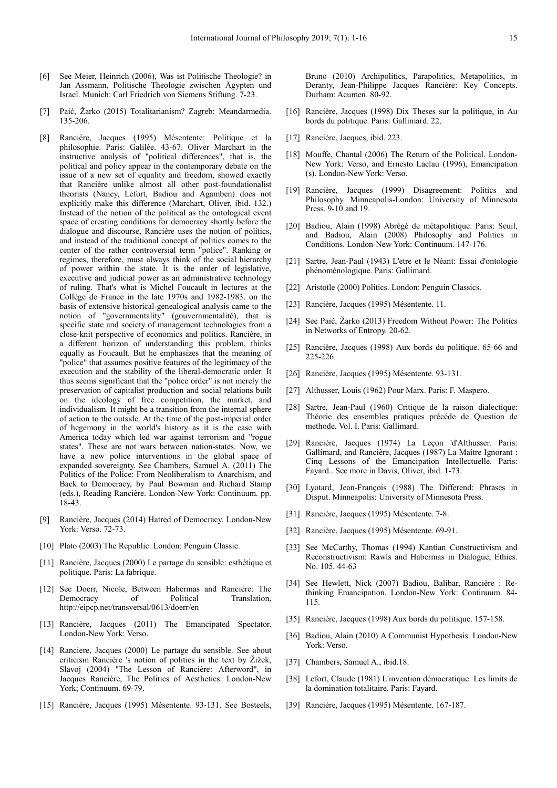- [6] See Meier, Heinrich (2006), Was ist Politische Theologie? in Jan Assmann, Politische Theologie zwischen Ägypten und Israel. Munich: Carl Friedrich von Siemens Stiftung. 7-23.
- [7] Paić, Žarko (2015) Totalitarianism? Zagreb: Meandarmedia. 135-206.
- [8] Rancière, Jacques (1995) Mésentente: Politique et la philosophie. Paris: Galilée. 43-67. Oliver Marchart in the instructive analysis of "political differences", that is, the political and policy appear in the contemporary debate on the issue of a new set of equality and freedom, showed exactly that Rancière unlike almost all other post-foundationalist theorists (Nancy, Lefort, Badiou and Agamben) does not explicitly make this difference (Marchart, Oliver, ibid. 132.) Instead of the notion of the political as the ontological event space of creating conditions for democracy shortly before the dialogue and discourse, Rancière uses the notion of politics, and instead of the traditional concept of politics comes to the center of the rather controversial term "police". Ranking or regimes, therefore, must always think of the social hierarchy of power within the state. It is the order of legislative, executive and judicial power as an administrative technology of ruling. That's what is Michel Foucault in lectures at the Collège de France in the late 1970s and 1982-1983. on the basis of extensive historical-genealogical analysis came to the notion of "governmentality" (gouvernmentalité), that is specific state and society of management technologies from a close-knit perspective of economics and politics. Rancière, in a different horizon of understanding this problem, thinks equally as Foucault. But he emphasizes that the meaning of "police" that assumes positive features of the legitimacy of the execution and the stability of the liberal-democratic order. It thus seems significant that the "police order" is not merely the preservation of capitalist production and social relations built on the ideology of free competition, the market, and individualism. It might be a transition from the internal sphere of action to the outside. At the time of the post-imperial order of hegemony in the world's history as it is the case with America today which led war against terrorism and "rogue states". These are not wars between nation-states. Now, we have a new police interventions in the global space of expanded sovereignty. See Chambers, Samuel A. (2011) The Politics of the Police: From Neoliberalism to Anarchism, and Back to Democracy, by Paul Bowman and Richard Stamp (eds.), Reading Rancière. London-New York: Continuum. pp. 18-43.
- [9] Rancière, Jacques (2014) Hatred of Democracy. London-New York: Verso. 72-73.
- [10] Plato (2003) The Republic. London: Penguin Classic.
- [11] Rancière, Jacques (2000) Le partage du sensible: esthétique et politique. Paris: La fabrique.
- [12] See Doerr, Nicole, Between Habermas and Rancière: The Democracy of Political Translation, http://eipcp.net/transversal/0613/doerr/en
- [13] Rancière, Jacques (2011) The Emancipated Spectator. London-New York: Verso.
- [14] Ranciere, Jacques (2000) Le partage du sensible. See about criticism Rancière 's notion of politics in the text by Žižek, Slavoj (2004) "The Lesson of Rancière: Afterword", in Jacques Rancière, The Politics of Aesthetics. London-New York; Continuum. 69-79.
- [15] Rancière, Jacques (1995) Mésentente. 93-131. See Bosteels,

Bruno (2010) Archipolitics, Parapolitics, Metapolitics, in Deranty, Jean-Philippe Jacques Rancière: Key Concepts. Durham: Acumen. 80-92.

- [16] Rancière, Jacques (1998) Dix Theses sur la politique, in Au bords du politique. Paris: Gallimard. 22.
- [17] Rancière, Jacques, ibid. 223.
- [18] Mouffe, Chantal (2006) The Return of the Political. London-New York: Verso, and Ernesto Laclau (1996), Emancipation (s). London-New York: Verso.
- [19] Rancière, Jacques (1999) Disagreement: Politics and Philosophy. Minneapolis-London: University of Minnesota Press. 9-10 and 19.
- [20] Badiou, Alain (1998) Abrégé de métapolitique. Paris: Seuil, and Badiou, Alain (2008) Philosophy and Politics in Conditions. London-New York: Continuum. 147-176.
- [21] Sartre, Jean-Paul (1943) L'etre et le Néant: Essai d'ontologie phénoménologique. Paris: Gallimard.
- [22] Aristotle (2000) Politics. London: Penguin Classics.
- [23] Rancière, Jacques (1995) Mésentente. 11.
- [24] See Paić, Žarko (2013) Freedom Without Power: The Politics in Networks of Entropy. 20-62.
- [25] Rancière, Jacques (1998) Aux bords du politique. 65-66 and 225-226.
- [26] Rancière, Jacques (1995) Mésentente. 93-131.
- [27] Althusser, Louis (1962) Pour Marx. Paris: F. Maspero.
- [28] Sartre, Jean-Paul (1960) Critique de la raison dialectique: Théorie des ensembles pratiques précéde de Question de methode, Vol. I. Paris: Gallimard.
- [29] Rancière, Jacques (1974) La Leçon 'd'Althusser. Paris: Gallimard, and Rancière, Jacques (1987) La Maitre Ignorant : Cinq Lessons of the Émancipation Intellectuelle. Paris: Fayard.. See more in Davis, Oliver, ibid. 1-73.
- [30] Lyotard, Jean-François (1988) The Differend: Phrases in Disput. Minneapolis: University of Minnesota Press.
- [31] Rancière, Jacques (1995) Mésentente. 7-8.
- [32] Rancière, Jacques (1995) Mésentente. 69-91.
- [33] See McCarthy, Thomas (1994) Kantian Constructivism and Reconstructivism: Rawls and Habermas in Dialogue, Ethics. No. 105. 44-63
- [34] See Hewlett, Nick (2007) Badiou, Balibar, Rancière : Rethinking Emancipation. London-New York: Continuum. 84- 115.
- [35] Rancière, Jacques (1998) Aux bords du politique. 157-158.
- [36] Badiou, Alain (2010) A Communist Hypothesis. London-New York: Verso.
- [37] Chambers, Samuel A., ibid.18.
- [38] Lefort, Claude (1981) L'invention démocratique: Les limits de la domination totalitaire. Paris: Fayard.
- [39] Rancière, Jacques (1995) Mésentente. 167-187.